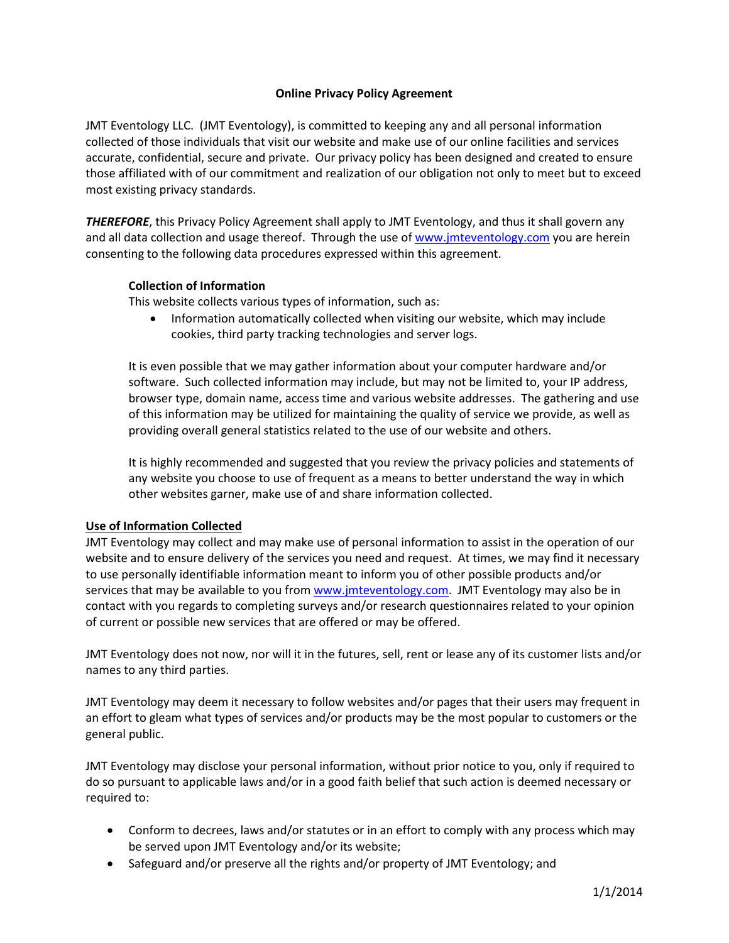### **Online Privacy Policy Agreement**

JMT Eventology LLC. (JMT Eventology), is committed to keeping any and all personal information collected of those individuals that visit our website and make use of our online facilities and services accurate, confidential, secure and private. Our privacy policy has been designed and created to ensure those affiliated with of our commitment and realization of our obligation not only to meet but to exceed most existing privacy standards.

*THEREFORE*, this Privacy Policy Agreement shall apply to JMT Eventology, and thus it shall govern any and all data collection and usage thereof. Through the use of www.jmteventology.com you are herein consenting to the following data procedures expressed within this agreement.

### **Collection of Information**

This website collects various types of information, such as:

• Information automatically collected when visiting our website, which may include cookies, third party tracking technologies and server logs.

It is even possible that we may gather information about your computer hardware and/or software. Such collected information may include, but may not be limited to, your IP address, browser type, domain name, access time and various website addresses. The gathering and use of this information may be utilized for maintaining the quality of service we provide, as well as providing overall general statistics related to the use of our website and others.

It is highly recommended and suggested that you review the privacy policies and statements of any website you choose to use of frequent as a means to better understand the way in which other websites garner, make use of and share information collected.

### **Use of Information Collected**

JMT Eventology may collect and may make use of personal information to assist in the operation of our website and to ensure delivery of the services you need and request. At times, we may find it necessary to use personally identifiable information meant to inform you of other possible products and/or services that may be available to you from www.jmteventology.com. JMT Eventology may also be in contact with you regards to completing surveys and/or research questionnaires related to your opinion of current or possible new services that are offered or may be offered.

JMT Eventology does not now, nor will it in the futures, sell, rent or lease any of its customer lists and/or names to any third parties.

JMT Eventology may deem it necessary to follow websites and/or pages that their users may frequent in an effort to gleam what types of services and/or products may be the most popular to customers or the general public.

JMT Eventology may disclose your personal information, without prior notice to you, only if required to do so pursuant to applicable laws and/or in a good faith belief that such action is deemed necessary or required to:

- Conform to decrees, laws and/or statutes or in an effort to comply with any process which may be served upon JMT Eventology and/or its website;
- Safeguard and/or preserve all the rights and/or property of JMT Eventology; and